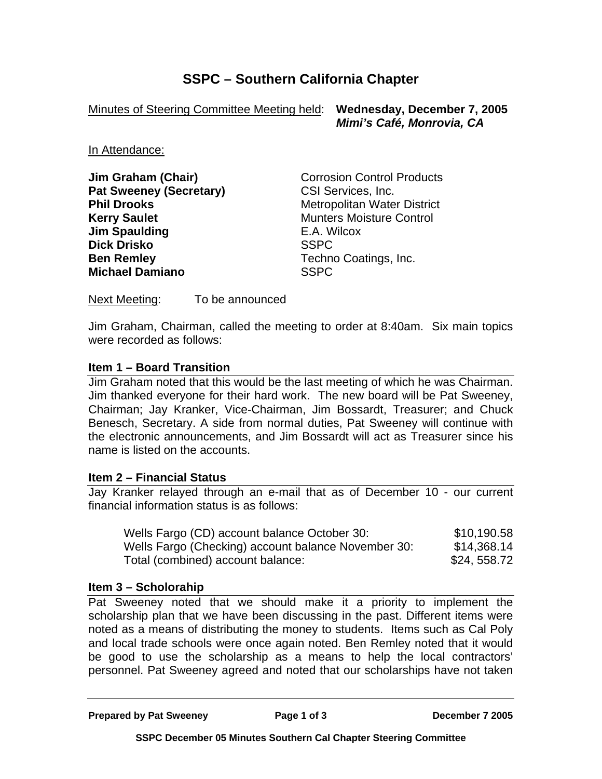# **SSPC – Southern California Chapter**

Minutes of Steering Committee Meeting held: **Wednesday, December 7, 2005**

 *Mimi's Café, Monrovia, CA* 

In Attendance:

**Pat Sweeney (Secretary)** CSI Services, Inc. **Kerry Saulet**  Munters Moisture Control **Jim Spaulding E.A. Wilcox Dick Drisko** SSPC **Ben Remley Techno Coatings, Inc. Michael Damiano** SSPC

**Jim Graham (Chair) Corrosion Control Products Phil Drooks** Metropolitan Water District

Next Meeting: To be announced

Jim Graham, Chairman, called the meeting to order at 8:40am. Six main topics were recorded as follows:

### **Item 1 – Board Transition**

Jim Graham noted that this would be the last meeting of which he was Chairman. Jim thanked everyone for their hard work. The new board will be Pat Sweeney, Chairman; Jay Kranker, Vice-Chairman, Jim Bossardt, Treasurer; and Chuck Benesch, Secretary. A side from normal duties, Pat Sweeney will continue with the electronic announcements, and Jim Bossardt will act as Treasurer since his name is listed on the accounts.

#### **Item 2 – Financial Status**

Jay Kranker relayed through an e-mail that as of December 10 - our current financial information status is as follows:

| Wells Fargo (CD) account balance October 30:        | \$10,190.58  |
|-----------------------------------------------------|--------------|
| Wells Fargo (Checking) account balance November 30: | \$14,368.14  |
| Total (combined) account balance:                   | \$24, 558.72 |

### **Item 3 – Scholorahip**

Pat Sweeney noted that we should make it a priority to implement the scholarship plan that we have been discussing in the past. Different items were noted as a means of distributing the money to students. Items such as Cal Poly and local trade schools were once again noted. Ben Remley noted that it would be good to use the scholarship as a means to help the local contractors' personnel. Pat Sweeney agreed and noted that our scholarships have not taken

**Prepared by Pat Sweeney Page 1 of 3 December 7 2005**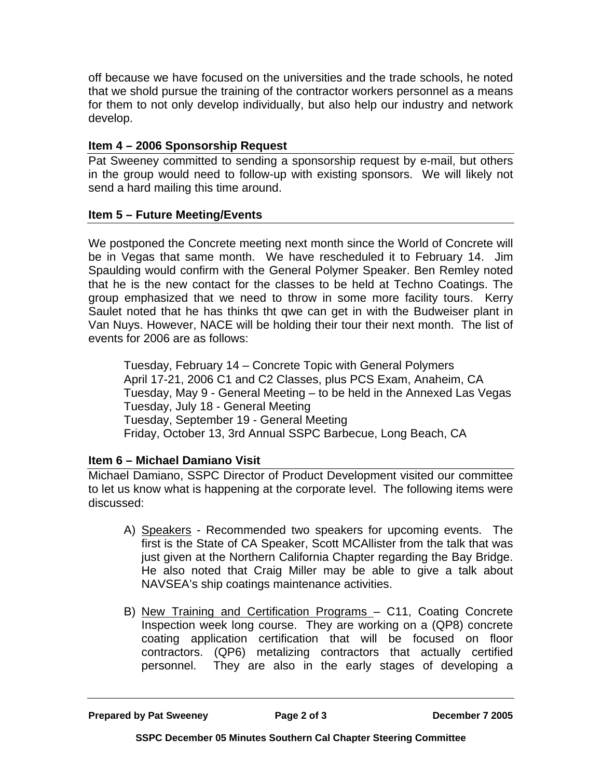off because we have focused on the universities and the trade schools, he noted that we shold pursue the training of the contractor workers personnel as a means for them to not only develop individually, but also help our industry and network develop.

## **Item 4 – 2006 Sponsorship Request**

Pat Sweeney committed to sending a sponsorship request by e-mail, but others in the group would need to follow-up with existing sponsors. We will likely not send a hard mailing this time around.

### **Item 5 – Future Meeting/Events**

We postponed the Concrete meeting next month since the World of Concrete will be in Vegas that same month. We have rescheduled it to February 14. Jim Spaulding would confirm with the General Polymer Speaker. Ben Remley noted that he is the new contact for the classes to be held at Techno Coatings. The group emphasized that we need to throw in some more facility tours. Kerry Saulet noted that he has thinks tht qwe can get in with the Budweiser plant in Van Nuys. However, NACE will be holding their tour their next month. The list of events for 2006 are as follows:

Tuesday, February 14 – Concrete Topic with General Polymers April 17-21, 2006 C1 and C2 Classes, plus PCS Exam, Anaheim, CA Tuesday, May 9 - General Meeting – to be held in the Annexed Las Vegas Tuesday, July 18 - General Meeting Tuesday, September 19 - General Meeting Friday, October 13, 3rd Annual SSPC Barbecue, Long Beach, CA

### **Item 6 – Michael Damiano Visit**

Michael Damiano, SSPC Director of Product Development visited our committee to let us know what is happening at the corporate level. The following items were discussed:

- A) Speakers Recommended two speakers for upcoming events. The first is the State of CA Speaker, Scott MCAllister from the talk that was just given at the Northern California Chapter regarding the Bay Bridge. He also noted that Craig Miller may be able to give a talk about NAVSEA's ship coatings maintenance activities.
- B) New Training and Certification Programs C11, Coating Concrete Inspection week long course. They are working on a (QP8) concrete coating application certification that will be focused on floor contractors. (QP6) metalizing contractors that actually certified personnel. They are also in the early stages of developing a

**Prepared by Pat Sweeney Page 2 of 3 December 7 2005**